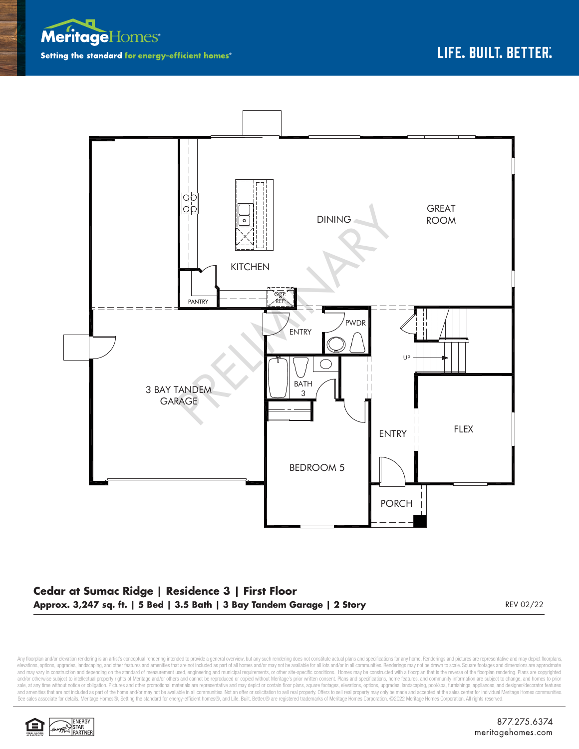



## **Cedar at Sumac Ridge | Residence 3 | First Floor Approx. 3,247 sq. ft. | 5 Bed | 3.5 Bath | 3 Bay Tandem Garage | 2 Story** REV 02/22 REV 02/22

Any floorplan and/or elevation rendering is an artist's conceptual rendering intended to provide a general overview, but any such rendering does not constitute actual plans and specifications for any home. Renderings and p elevations, options, upgrades, landscaping, and other features and amenities that are not included as part of all homes and/or may not be available for all lots and/or in all communities. Renderings may not be drawn to sca and may vary in construction and depending on the standard of measurement used, engineering and municipal requirements, or other site-specific conditions. Homes may be constructed with a floorplan that is the reverse of th and/or otherwise subject to intellectual property rights of Meritage and/or others and cannot be reproduced or copied without Meritage's prior written consent. Plans and specifications, home features, and community informa sale, at any time without notice or obligation. Pictures and other promotional materials are representative and may depict or contain floor plans, square footages, elevations, options, upgrades, landscaping, pool/spa, furn See sales associate for details. Meritage Homes®, Setting the standard for energy-efficient homes®, and Life. Built. Better.@ are registered trademarks of Meritage Homes Corporation. @2022 Meritage Homes Corporation. All r